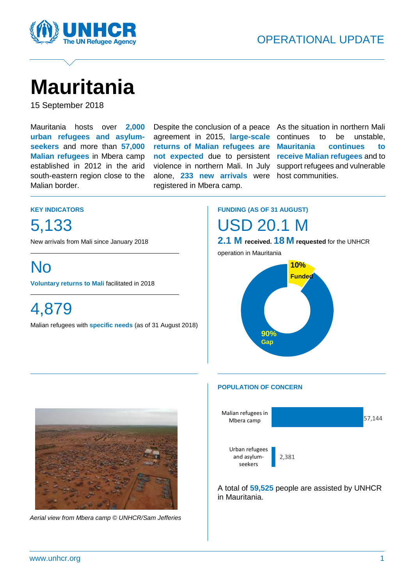

# **Mauritania**

15 September 2018

 **seekers** and more than **57,000**  Mauritania hosts over **2,000 urban refugees and asylum-Malian refugees** in Mbera camp established in 2012 in the arid south-eastern region close to the Malian border.

Despite the conclusion of a peace agreement in 2015, **large-scale returns of Malian refugees are not expected** due to persistent violence in northern Mali. In July alone, **233 new arrivals** were registered in Mbera camp.

As the situation in northern Mali continues to be unstable, **Mauritania continues to receive Malian refugees** and to support refugees and vulnerable host communities.

#### **KEY INDICATORS**

5,133

New arrivals from Mali since January 2018

# No

**Voluntary returns to Mali** facilitated in 2018

## 4,879

Malian refugees with **specific needs** (as of 31 August 2018)

### **FUNDING (AS OF 31 AUGUST)**

USD 20.1 M

**2.1 M received. 18 M requested** for the UNHCR operation in Mauritania





*Aerial view from Mbera camp © UNHCR/Sam Jefferies*

#### **POPULATION OF CONCERN**

6%



A total of **59,525** people are assisted by UNHCR in Mauritania.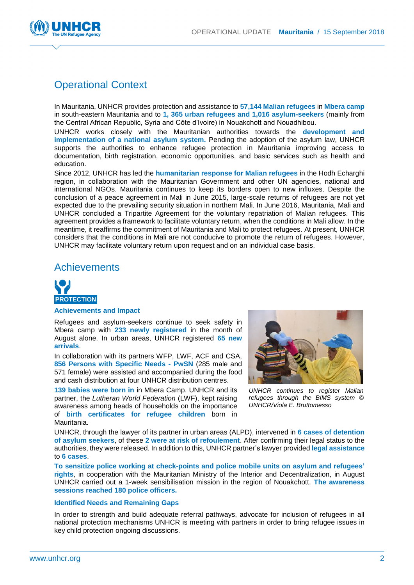

### Operational Context

In Mauritania, UNHCR provides protection and assistance to **57,144 Malian refugees** in **Mbera camp** in south-eastern Mauritania and to **1, 365 urban refugees and 1,016 asylum-seekers** (mainly from the Central African Republic, Syria and Côte d'Ivoire) in Nouakchott and Nouadhibou.

UNHCR works closely with the Mauritanian authorities towards the **development and implementation of a national asylum system.** Pending the adoption of the asylum law, UNHCR supports the authorities to enhance refugee protection in Mauritania improving access to documentation, birth registration, economic opportunities, and basic services such as health and education.

Since 2012, UNHCR has led the **humanitarian response for Malian refugees** in the Hodh Echarghi region, in collaboration with the Mauritanian Government and other UN agencies, national and international NGOs. Mauritania continues to keep its borders open to new influxes. Despite the conclusion of a peace agreement in Mali in June 2015, large-scale returns of refugees are not yet expected due to the prevailing security situation in northern Mali. In June 2016, Mauritania, Mali and UNHCR concluded a Tripartite Agreement for the voluntary repatriation of Malian refugees. This agreement provides a framework to facilitate voluntary return, when the conditions in Mali allow. In the meantime, it reaffirms the commitment of Mauritania and Mali to protect refugees. At present, UNHCR considers that the conditions in Mali are not conducive to promote the return of refugees. However, UNHCR may facilitate voluntary return upon request and on an individual case basis.

#### Achievements



#### **Achievements and Impact**

Refugees and asylum-seekers continue to seek safety in Mbera camp with **233 newly registered** in the month of August alone. In urban areas, UNHCR registered **65 new arrivals**.

In collaboration with its partners WFP, LWF, ACF and CSA, **856 Persons with Specific Needs - PwSN** (285 male and 571 female) were assisted and accompanied during the food and cash distribution at four UNHCR distribution centres.

**139 babies were born in** in Mbera Camp. UNHCR and its partner, the *Lutheran World Federation* (LWF), kept raising awareness among heads of households on the importance of **birth certificates for refugee children** born in Mauritania.



*UNHCR continues to register Malian refugees through the BIMS system © UNHCR/Viola E. Bruttomesso*

UNHCR, through the lawyer of its partner in urban areas (ALPD), intervened in **6 cases of detention of asylum seekers**, of these **2 were at risk of refoulement**. After confirming their legal status to the authorities, they were released. In addition to this, UNHCR partner's lawyer provided **legal assistance** to **6 cases**.

**To sensitize police working at check-points and police mobile units on asylum and refugees' rights**, in cooperation with the Mauritanian Ministry of the Interior and Decentralization, in August UNHCR carried out a 1-week sensibilisation mission in the region of Nouakchott. **The awareness sessions reached 180 police officers.**

#### **Identified Needs and Remaining Gaps**

In order to strength and build adequate referral pathways, advocate for inclusion of refugees in all national protection mechanisms UNHCR is meeting with partners in order to bring refugee issues in key child protection ongoing discussions.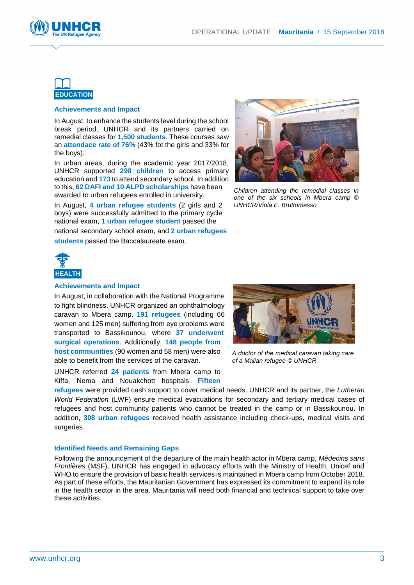



#### **Achievements and Impact**

In August, to enhance the students level during the school break period, UNHCR and its partners carried on remedial classes for **1,500 students.** These courses saw an **attendace rate of 76%** (43% fot the girls and 33% for the boys).

In urban areas, during the academic year 2017/2018, UNHCR supported **298 children** to access primary education and **173** to attend secondary school. In addition to this, **62 DAFI and 10 ALPD scholarships** have been awarded to urban refugees enrolled in university.

In August, **4 urban refugee students** (2 girls and 2 boys) were successfully admitted to the primary cycle national exam, **1 urban refugee student** passed the

national secondary school exam, and **2 urban refugees students** passed the Baccalaureate exam.



*Children attending the remedial classes in one of the six schools in Mbera camp © UNHCR/Viola E. Bruttomesso*



#### **Achievements and Impact**

In August, in collaboration with the National Programme to fight blindness, UNHCR organized an ophthalmology caravan to Mbera camp. **191 refugees** (including 66 women and 125 men) suffering from eye problems were transported to Bassikounou, where **37 underwent surgical operations**. Additionally, **148 people from host communities** (90 women and 58 men) were also able to benefit from the services of the caravan.





*A doctor of the medical caravan taking care of a Malian refugee © UNHCR*

**refugees** were provided cash support to cover medical needs. UNHCR and its partner, the *Lutheran World Federation* (LWF) ensure medical evacuations for secondary and tertiary medical cases of refugees and host community patients who cannot be treated in the camp or in Bassikounou. In addition, **308 urban refugees** received health assistance including check-ups, medical visits and surgeries.

#### **Identified Needs and Remaining Gaps**

Following the announcement of the departure of the main health actor in Mbera camp, *Médecins sans Frontières* (MSF), UNHCR has engaged in advocacy efforts with the Ministry of Health, Unicef and WHO to ensure the provision of basic health services is maintained in Mbera camp from October 2018. As part of these efforts, the Mauritanian Government has expressed its commitment to expand its role in the health sector in the area. Mauritania will need both financial and technical support to take over these activities.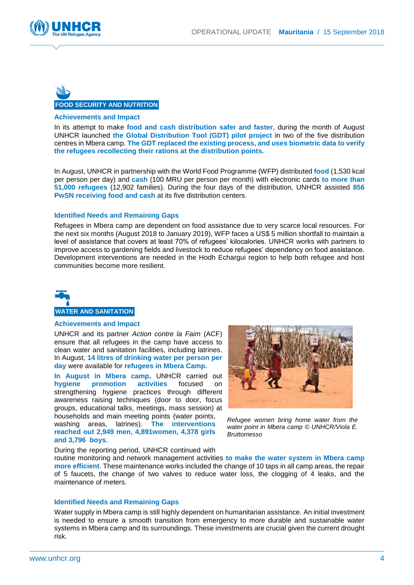



#### **Achievements and Impact**

In its attempt to make **food and cash distribution safer and faster**, during the month of August UNHCR launched **the Global Distribution Tool (GDT) pilot project** in two of the five distribution centres in Mbera camp. **The GDT replaced the existing process, and uses biometric data to verify the refugees recollecting their rations at the distribution points.** 

In August, UNHCR in partnership with the World Food Programme (WFP) distributed **food** (1,530 kcal per person per day) and **cash** (100 MRU per person per month) with electronic cards **to more than 51,000 refugees** (12,902 families). During the four days of the distribution, UNHCR assisted **856 PwSN receiving food and cash** at its five distribution centers.

#### **Identified Needs and Remaining Gaps**

Refugees in Mbera camp are dependent on food assistance due to very scarce local resources. For the next six months (August 2018 to January 2019), WFP faces a US\$ 5 million shortfall to maintain a level of assistance that covers at least 70% of refugees' kilocalories. UNHCR works with partners to improve access to gardening fields and livestock to reduce refugees' dependency on food assistance. Development interventions are needed in the Hodh Echargui region to help both refugee and host communities become more resilient.



#### **Achievements and Impact**

UNHCR and its partner *Action contre la Faim* (ACF) ensure that all refugees in the camp have access to clean water and sanitation facilities, including latrines. In August, **14 litres of drinking water per person per day** were available for **refugees in Mbera Camp.** 

**In August in Mbera camp,** UNHCR carried out **hygiene promotion activities** focused on strengthening hygiene practices through different awareness raising techniques (door to door, focus groups, educational talks, meetings, mass session) at households and main meeting points (water points, washing areas, latrines). **The interventions reached out 2,949 men, 4,891women, 4,378 girls and 3,796 boys.**



*Refugee women bring home water from the water point in Mbera camp © UNHCR/Viola E. Bruttomesso*

During the reporting period, UNHCR continued with

routine monitoring and network management activities **to make the water system in Mbera camp more efficient**. These maintenance works included the change of 10 taps in all camp areas, the repair of 5 faucets, the change of two valves to reduce water loss, the clogging of 4 leaks, and the maintenance of meters.

#### **Identified Needs and Remaining Gaps**

Water supply in Mbera camp is still highly dependent on humanitarian assistance. An initial investment is needed to ensure a smooth transition from emergency to more durable and sustainable water systems in Mbera camp and its surroundings. These investments are crucial given the current drought risk.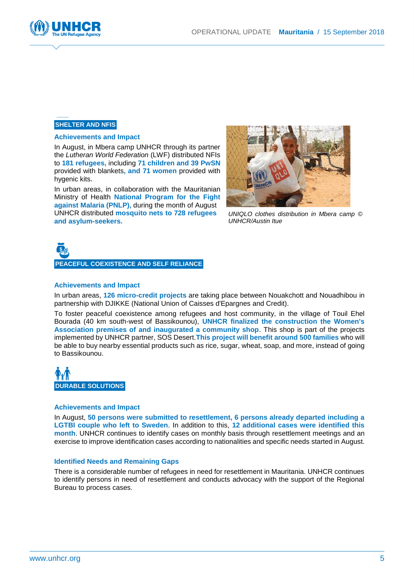

#### **SHELTER AND NFIS**

#### **Achievements and Impact**

In August, in Mbera camp UNHCR through its partner the *Lutheran World Federation* (LWF) distributed NFIs to **181 refugees,** including **71 children and 39 PwSN** provided with blankets**, and 71 women** provided with hygenic kits**.**

In urban areas, in collaboration with the Mauritanian Ministry of Health **National Program for the Fight against Malaria (PNLP),** during the month of August UNHCR distributed **mosquito nets to 728 refugees and asylum-seekers.**



*UNIQLO clothes distribution in Mbera camp © UNHCR/Austin Itue*

# **PEACEFUL COEXISTENCE AND SELF RELIANCE**

#### **Achievements and Impact**

In urban areas, **126 micro-credit projects** are taking place between Nouakchott and Nouadhibou in partnership with DJIKKE (National Union of Caisses d'Epargnes and Credit).

To foster peaceful coexistence among refugees and host community, in the village of Touil Ehel Bourada (40 km south-west of Bassikounou), **UNHCR finalized the construction the Women's Association premises of and inaugurated a community shop**. This shop is part of the projects implemented by UNHCR partner, SOS Desert.**This project will benefit around 500 families** who will be able to buy nearby essential products such as rice, sugar, wheat, soap, and more, instead of going to Bassikounou.

# **DURABLE SOLUTIONS**

#### **Achievements and Impact**

In August, **50 persons were submitted to resettlement, 6 persons already departed including a LGTBI couple who left to Sweden**. In addition to this, **12 additional cases were identified this month**. UNHCR continues to identify cases on monthly basis through resettlement meetings and an exercise to improve identification cases according to nationalities and specific needs started in August.

#### **Identified Needs and Remaining Gaps**

There is a considerable number of refugees in need for resettlement in Mauritania. UNHCR continues to identify persons in need of resettlement and conducts advocacy with the support of the Regional Bureau to process cases.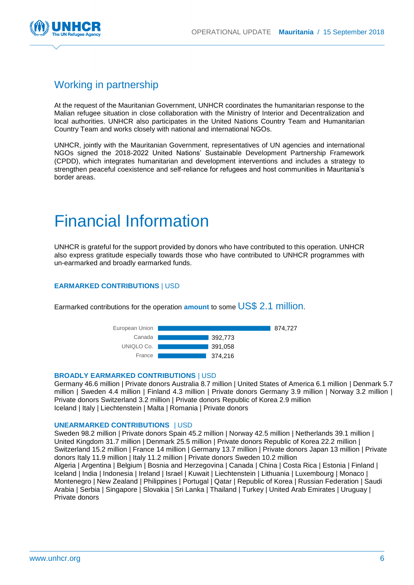

### Working in partnership

At the request of the Mauritanian Government, UNHCR coordinates the humanitarian response to the Malian refugee situation in close collaboration with the Ministry of Interior and Decentralization and local authorities. UNHCR also participates in the United Nations Country Team and Humanitarian Country Team and works closely with national and international NGOs.

UNHCR, jointly with the Mauritanian Government, representatives of UN agencies and international NGOs signed the 2018-2022 United Nations' Sustainable Development Partnership Framework (CPDD), which integrates humanitarian and development interventions and includes a strategy to strengthen peaceful coexistence and self-reliance for refugees and host communities in Mauritania's border areas.

## Financial Information

UNHCR is grateful for the support provided by donors who have contributed to this operation. UNHCR also express gratitude especially towards those who have contributed to UNHCR programmes with un-earmarked and broadly earmarked funds.

#### **EARMARKED CONTRIBUTIONS** | USD

Earmarked contributions for the operation **amount** to some US\$ 2.1 million.



#### **BROADLY EARMARKED CONTRIBUTIONS** | USD

Germany 46.6 million | Private donors Australia 8.7 million | United States of America 6.1 million | Denmark 5.7 million | Sweden 4.4 million | Finland 4.3 million | Private donors Germany 3.9 million | Norway 3.2 million | Private donors Switzerland 3.2 million | Private donors Republic of Korea 2.9 million Iceland | Italy | Liechtenstein | Malta | Romania | Private donors

#### **UNEARMARKED CONTRIBUTIONS** | USD

Sweden 98.2 million | Private donors Spain 45.2 million | Norway 42.5 million | Netherlands 39.1 million | United Kingdom 31.7 million | Denmark 25.5 million | Private donors Republic of Korea 22.2 million | Switzerland 15.2 million | France 14 million | Germany 13.7 million | Private donors Japan 13 million | Private donors Italy 11.9 million | Italy 11.2 million | Private donors Sweden 10.2 million Algeria | Argentina | Belgium | Bosnia and Herzegovina | Canada | China | Costa Rica | Estonia | Finland | Iceland | India | Indonesia | Ireland | Israel | Kuwait | Liechtenstein | Lithuania | Luxembourg | Monaco | Montenegro | New Zealand | Philippines | Portugal | Qatar | Republic of Korea | Russian Federation | Saudi Arabia | Serbia | Singapore | Slovakia | Sri Lanka | Thailand | Turkey | United Arab Emirates | Uruguay | Private donors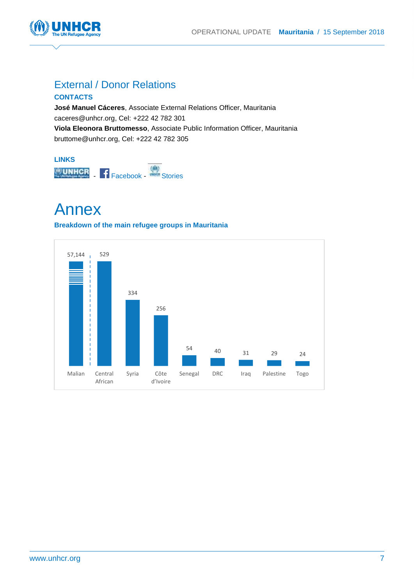

## External / Donor Relations

**CONTACTS**

**José Manuel Cáceres**, Associate External Relations Officer, Mauritania caceres@unhcr.org, Cel: +222 42 782 301 **Viola Eleonora Bruttomesso**, Associate Public Information Officer, Mauritania bruttome@unhcr.org, Cel: +222 42 782 305



## Annex

#### **Breakdown of the main refugee groups in Mauritania**